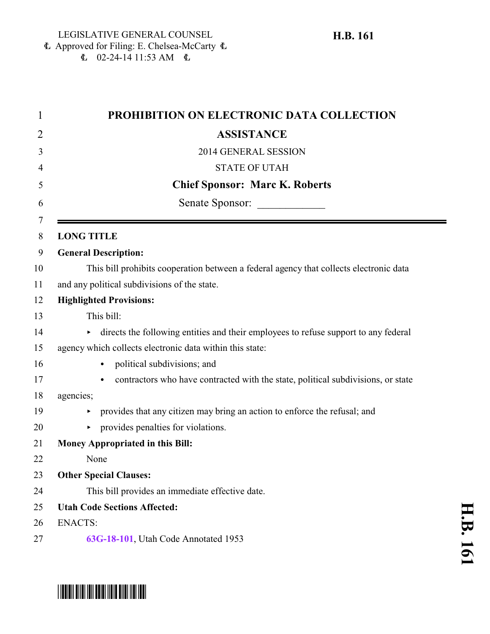Approved for Filing: E. Chelsea-McCarty 6  $\mathbf{E}$  02-24-14 11:53 AM  $\mathbf{E}$ 

| 1      | PROHIBITION ON ELECTRONIC DATA COLLECTION                                                |
|--------|------------------------------------------------------------------------------------------|
| 2      | <b>ASSISTANCE</b>                                                                        |
| 3      | 2014 GENERAL SESSION                                                                     |
| 4      | <b>STATE OF UTAH</b>                                                                     |
| 5      | <b>Chief Sponsor: Marc K. Roberts</b>                                                    |
| 6      | Senate Sponsor:                                                                          |
| 7<br>8 | <b>LONG TITLE</b>                                                                        |
| 9      | <b>General Description:</b>                                                              |
| 10     | This bill prohibits cooperation between a federal agency that collects electronic data   |
| 11     | and any political subdivisions of the state.                                             |
| 12     | <b>Highlighted Provisions:</b>                                                           |
| 13     | This bill:                                                                               |
| 14     | directs the following entities and their employees to refuse support to any federal<br>▶ |
| 15     | agency which collects electronic data within this state:                                 |
| 16     | political subdivisions; and                                                              |
| 17     | contractors who have contracted with the state, political subdivisions, or state         |
| 18     | agencies;                                                                                |
| 19     | provides that any citizen may bring an action to enforce the refusal; and                |
| 20     | provides penalties for violations.                                                       |
| 21     | <b>Money Appropriated in this Bill:</b>                                                  |
| 22     | None                                                                                     |
| 23     | <b>Other Special Clauses:</b>                                                            |
| 24     | This bill provides an immediate effective date.                                          |
| 25     | <b>Utah Code Sections Affected:</b>                                                      |
| 26     | <b>ENACTS:</b>                                                                           |
| 27     | 63G-18-101, Utah Code Annotated 1953                                                     |



## \*HB0161\*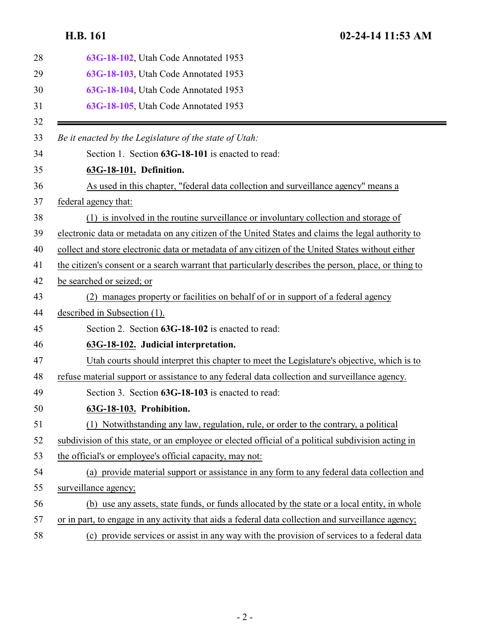<span id="page-1-2"></span><span id="page-1-1"></span><span id="page-1-0"></span>

| 28 | 63G-18-102, Utah Code Annotated 1953                                                                 |
|----|------------------------------------------------------------------------------------------------------|
| 29 | 63G-18-103, Utah Code Annotated 1953                                                                 |
| 30 | 63G-18-104, Utah Code Annotated 1953                                                                 |
| 31 | 63G-18-105, Utah Code Annotated 1953                                                                 |
| 32 |                                                                                                      |
| 33 | Be it enacted by the Legislature of the state of Utah:                                               |
| 34 | Section 1. Section 63G-18-101 is enacted to read:                                                    |
| 35 | 63G-18-101. Definition.                                                                              |
| 36 | As used in this chapter, "federal data collection and surveillance agency" means a                   |
| 37 | federal agency that:                                                                                 |
| 38 | (1) is involved in the routine surveillance or involuntary collection and storage of                 |
| 39 | electronic data or metadata on any citizen of the United States and claims the legal authority to    |
| 40 | collect and store electronic data or metadata of any citizen of the United States without either     |
| 41 | the citizen's consent or a search warrant that particularly describes the person, place, or thing to |
| 42 | be searched or seized; or                                                                            |
| 43 | (2) manages property or facilities on behalf of or in support of a federal agency                    |
| 44 | described in Subsection (1).                                                                         |
| 45 | Section 2. Section 63G-18-102 is enacted to read:                                                    |
| 46 | 63G-18-102. Judicial interpretation.                                                                 |
| 47 | Utah courts should interpret this chapter to meet the Legislature's objective, which is to           |
| 48 | refuse material support or assistance to any federal data collection and surveillance agency.        |
| 49 | Section 3. Section 63G-18-103 is enacted to read:                                                    |
| 50 | 63G-18-103. Prohibition.                                                                             |
| 51 | Notwithstanding any law, regulation, rule, or order to the contrary, a political<br>(1)              |
| 52 | subdivision of this state, or an employee or elected official of a political subdivision acting in   |
| 53 | the official's or employee's official capacity, may not:                                             |
| 54 | (a) provide material support or assistance in any form to any federal data collection and            |
| 55 | surveillance agency;                                                                                 |
| 56 | (b) use any assets, state funds, or funds allocated by the state or a local entity, in whole         |
| 57 | or in part, to engage in any activity that aids a federal data collection and surveillance agency;   |
| 58 | (c) provide services or assist in any way with the provision of services to a federal data           |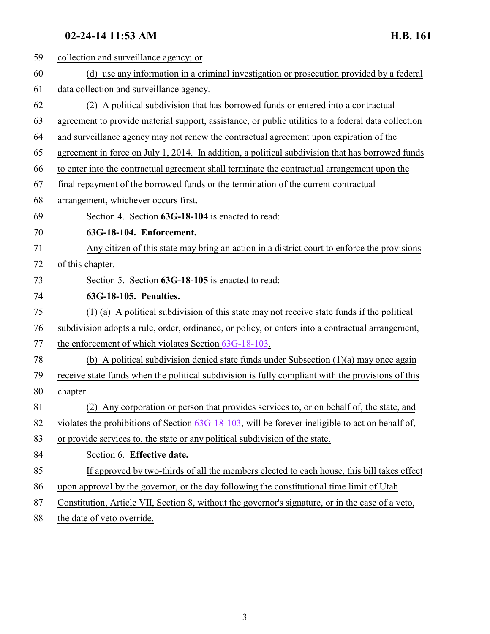## <span id="page-2-0"></span>**02-24-14 11:53 AM H.B. 161**

<span id="page-2-1"></span>

| 59 | collection and surveillance agency; or                                                              |
|----|-----------------------------------------------------------------------------------------------------|
| 60 | (d) use any information in a criminal investigation or prosecution provided by a federal            |
| 61 | data collection and surveillance agency.                                                            |
| 62 | (2) A political subdivision that has borrowed funds or entered into a contractual                   |
| 63 | agreement to provide material support, assistance, or public utilities to a federal data collection |
| 64 | and surveillance agency may not renew the contractual agreement upon expiration of the              |
| 65 | agreement in force on July 1, 2014. In addition, a political subdivision that has borrowed funds    |
| 66 | to enter into the contractual agreement shall terminate the contractual arrangement upon the        |
| 67 | final repayment of the borrowed funds or the termination of the current contractual                 |
| 68 | arrangement, whichever occurs first.                                                                |
| 69 | Section 4. Section 63G-18-104 is enacted to read:                                                   |
| 70 | 63G-18-104. Enforcement.                                                                            |
| 71 | Any citizen of this state may bring an action in a district court to enforce the provisions         |
| 72 | of this chapter.                                                                                    |
| 73 | Section 5. Section 63G-18-105 is enacted to read:                                                   |
| 74 | 63G-18-105. Penalties.                                                                              |
| 75 | (1) (a) A political subdivision of this state may not receive state funds if the political          |
|    |                                                                                                     |
| 76 | subdivision adopts a rule, order, ordinance, or policy, or enters into a contractual arrangement,   |
| 77 | the enforcement of which violates Section 63G-18-103.                                               |
| 78 | (b) A political subdivision denied state funds under Subsection $(1)(a)$ may once again             |
| 79 | receive state funds when the political subdivision is fully compliant with the provisions of this   |
| 80 | chapter.                                                                                            |
| 81 | (2) Any corporation or person that provides services to, or on behalf of, the state, and            |
| 82 | violates the prohibitions of Section $63G-18-103$ , will be forever ineligible to act on behalf of, |
| 83 | or provide services to, the state or any political subdivision of the state.                        |
| 84 | Section 6. Effective date.                                                                          |
| 85 | If approved by two-thirds of all the members elected to each house, this bill takes effect          |
| 86 | upon approval by the governor, or the day following the constitutional time limit of Utah           |
| 87 | Constitution, Article VII, Section 8, without the governor's signature, or in the case of a veto,   |